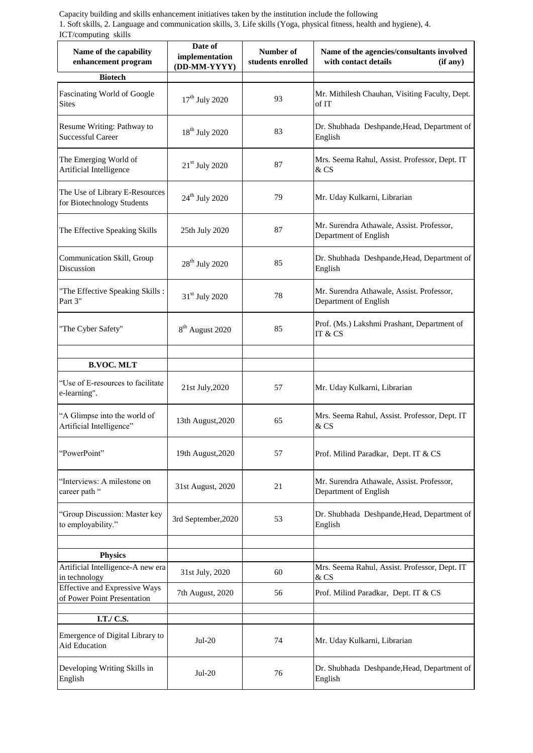Capacity building and skills enhancement initiatives taken by the institution include the following 1. Soft skills, 2. Language and communication skills, 3. Life skills (Yoga, physical fitness, health and hygiene), 4. ICT/computing skills

| Name of the capability<br>enhancement program                                              | Date of<br>implementation<br>(DD-MM-YYYY) | Number of<br>students enrolled | Name of the agencies/consultants involved<br>with contact details<br>(if any) |
|--------------------------------------------------------------------------------------------|-------------------------------------------|--------------------------------|-------------------------------------------------------------------------------|
| <b>Biotech</b>                                                                             |                                           |                                |                                                                               |
| Fascinating World of Google<br><b>Sites</b>                                                | $17th$ July 2020                          | 93                             | Mr. Mithilesh Chauhan, Visiting Faculty, Dept.<br>of IT                       |
| Resume Writing: Pathway to<br><b>Successful Career</b>                                     | $18th$ July 2020                          | 83                             | Dr. Shubhada Deshpande, Head, Department of<br>English                        |
| The Emerging World of<br>Artificial Intelligence                                           | 21 <sup>st</sup> July 2020                | 87                             | Mrs. Seema Rahul, Assist. Professor, Dept. IT<br>& CS                         |
| The Use of Library E-Resources<br>for Biotechnology Students                               | 24 <sup>th</sup> July 2020                | 79                             | Mr. Uday Kulkarni, Librarian                                                  |
| The Effective Speaking Skills                                                              | 25th July 2020                            | 87                             | Mr. Surendra Athawale, Assist. Professor,<br>Department of English            |
| Communication Skill, Group<br>Discussion                                                   | $28th$ July 2020                          | 85                             | Dr. Shubhada Deshpande, Head, Department of<br>English                        |
| "The Effective Speaking Skills:<br>Part 3"                                                 | $31st$ July 2020                          | 78                             | Mr. Surendra Athawale, Assist. Professor,<br>Department of English            |
| "The Cyber Safety"                                                                         | 8 <sup>th</sup> August 2020               | 85                             | Prof. (Ms.) Lakshmi Prashant, Department of<br>IT & CS                        |
|                                                                                            |                                           |                                |                                                                               |
| <b>B.VOC. MLT</b>                                                                          |                                           |                                |                                                                               |
| "Use of E-resources to facilitate<br>e-learning".                                          | 21st July, 2020                           | 57                             | Mr. Uday Kulkarni, Librarian                                                  |
| "A Glimpse into the world of<br>Artificial Intelligence"                                   | 13th August, 2020                         | 65                             | Mrs. Seema Rahul, Assist. Professor, Dept. IT<br>$&$ CS                       |
| "PowerPoint"                                                                               | 19th August, 2020                         | 57                             | Prof. Milind Paradkar, Dept. IT & CS                                          |
| "Interviews: A milestone on<br>career path "                                               | 31st August, 2020                         | 21                             | Mr. Surendra Athawale, Assist. Professor,<br>Department of English            |
| "Group Discussion: Master key<br>to employability."                                        | 3rd September, 2020                       | 53                             | Dr. Shubhada Deshpande, Head, Department of<br>English                        |
|                                                                                            |                                           |                                |                                                                               |
| <b>Physics</b>                                                                             |                                           |                                |                                                                               |
| Artificial Intelligence-A new era<br>in technology<br><b>Effective and Expressive Ways</b> | 31st July, 2020                           | 60                             | Mrs. Seema Rahul, Assist. Professor, Dept. IT<br>& CS                         |
| of Power Point Presentation                                                                | 7th August, 2020                          | 56                             | Prof. Milind Paradkar, Dept. IT & CS                                          |
| I.T./ C.S.                                                                                 |                                           |                                |                                                                               |
| Emergence of Digital Library to<br>Aid Education                                           | $Jul-20$                                  | 74                             | Mr. Uday Kulkarni, Librarian                                                  |
| Developing Writing Skills in<br>English                                                    | $Jul-20$                                  | 76                             | Dr. Shubhada Deshpande, Head, Department of<br>English                        |